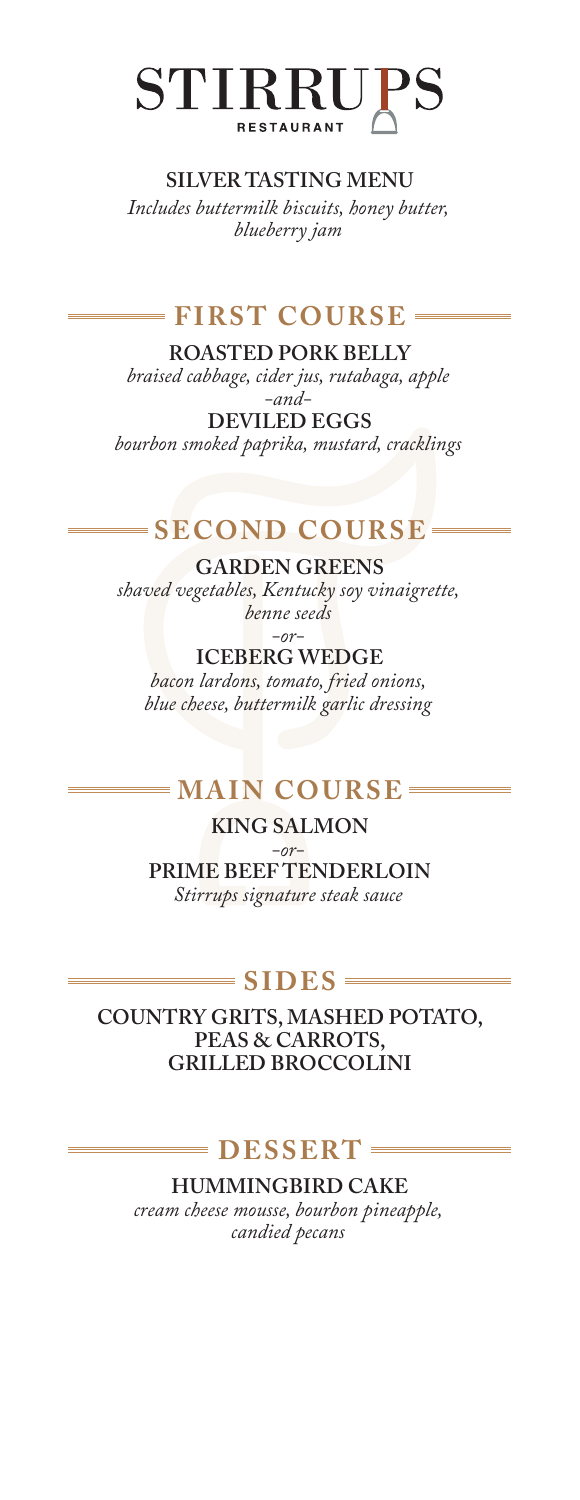

#### **SILVER TASTING MENU**

*Includes buttermilk biscuits, honey butter, blueberry jam*

## **FIRST COURSE**

**ROASTED PORK BELLY** *braised cabbage, cider jus, rutabaga, apple -and-*

**DEVILED EGGS** *bourbon smoked paprika, mustard, cracklings*

### $=$  **SECOND COURSE**

**GARDEN GREENS** *shaved vegetables, Kentucky soy vinaigrette, benne seeds -or-*

**ICEBERG WEDGE** *bacon lardons, tomato, fried onions, blue cheese, buttermilk garlic dressing*

# $=MAIN COURSE =$

**KING SALMON** *-or-***PRIME BEEF TENDERLOIN** *Stirrups signature steak sauce*

#### $=$  **SIDES**  $=$

**COUNTRY GRITS, MASHED POTATO, PEAS & CARROTS, GRILLED BROCCOLINI**

## **DESSERT**

**HUMMINGBIRD CAKE**

*cream cheese mousse, bourbon pineapple, candied pecans*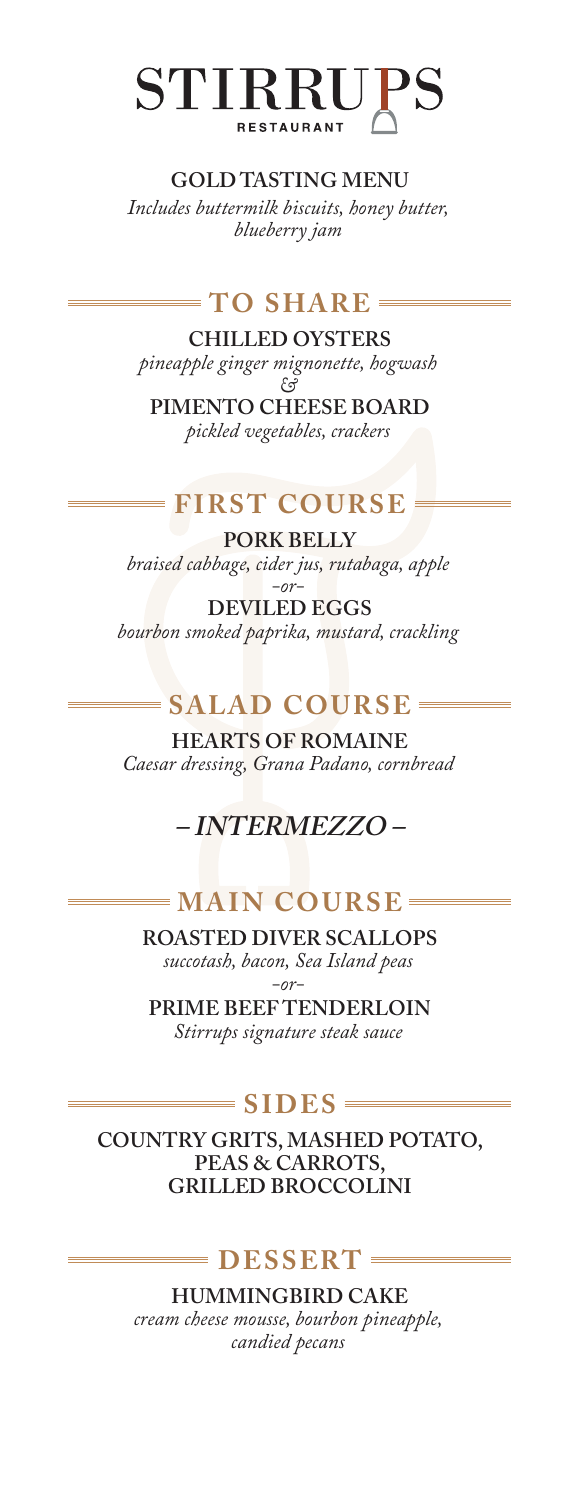

#### **GOLD TASTING MENU**

*Includes buttermilk biscuits, honey butter, blueberry jam*

### **TO SHARE**

**CHILLED OYSTERS** *pineapple ginger mignonette, hogwash &*

**PIMENTO CHEESE BOARD** *pickled vegetables, crackers*

# **FIRST COURSE**

**PORK BELLY** *braised cabbage, cider jus, rutabaga, apple*

*-or-***DEVILED EGGS** *bourbon smoked paprika, mustard, crackling*

# **SALAD COURSE**

**HEARTS OF ROMAINE** *Caesar dressing, Grana Padano, cornbread*

# **– INTERMEZZO –**

# **MAIN COURSE**

**ROASTED DIVER SCALLOPS** *succotash, bacon, Sea Island peas -or-*

**PRIME BEEF TENDERLOIN** *Stirrups signature steak sauce*

### $\equiv$  **SIDES**  $\equiv$

**COUNTRY GRITS, MASHED POTATO, PEAS & CARROTS, GRILLED BROCCOLINI**

### **DESSERT**

**HUMMINGBIRD CAKE** *cream cheese mousse, bourbon pineapple, candied pecans*